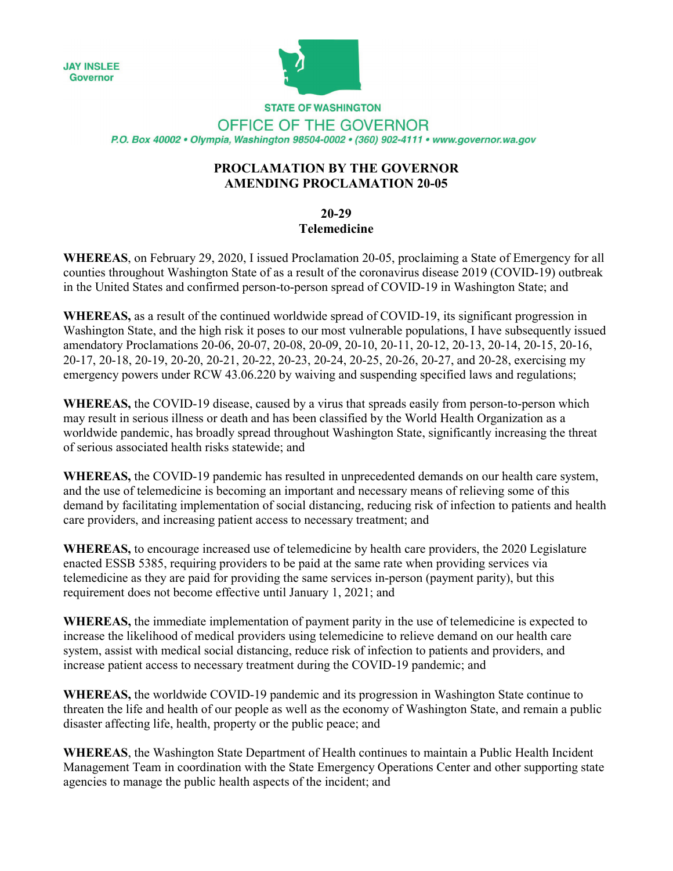**JAY INSLEE** Governor



**STATE OF WASHINGTON** OFFICE OF THE GOVERNOR P.O. Box 40002 · Olympia, Washington 98504-0002 · (360) 902-4111 · www.governor.wa.gov

## **PROCLAMATION BY THE GOVERNOR AMENDING PROCLAMATION 20-05**

## **20-29**

## **Telemedicine**

**WHEREAS**, on February 29, 2020, I issued Proclamation 20-05, proclaiming a State of Emergency for all counties throughout Washington State of as a result of the coronavirus disease 2019 (COVID-19) outbreak in the United States and confirmed person-to-person spread of COVID-19 in Washington State; and

**WHEREAS,** as a result of the continued worldwide spread of COVID-19, its significant progression in Washington State, and the high risk it poses to our most vulnerable populations, I have subsequently issued amendatory Proclamations 20-06, 20-07, 20-08, 20-09, 20-10, 20-11, 20-12, 20-13, 20-14, 20-15, 20-16, 20-17, 20-18, 20-19, 20-20, 20-21, 20-22, 20-23, 20-24, 20-25, 20-26, 20-27, and 20-28, exercising my emergency powers under RCW 43.06.220 by waiving and suspending specified laws and regulations;

**WHEREAS,** the COVID-19 disease, caused by a virus that spreads easily from person-to-person which may result in serious illness or death and has been classified by the World Health Organization as a worldwide pandemic, has broadly spread throughout Washington State, significantly increasing the threat of serious associated health risks statewide; and

**WHEREAS,** the COVID-19 pandemic has resulted in unprecedented demands on our health care system, and the use of telemedicine is becoming an important and necessary means of relieving some of this demand by facilitating implementation of social distancing, reducing risk of infection to patients and health care providers, and increasing patient access to necessary treatment; and

**WHEREAS,** to encourage increased use of telemedicine by health care providers, the 2020 Legislature enacted ESSB 5385, requiring providers to be paid at the same rate when providing services via telemedicine as they are paid for providing the same services in-person (payment parity), but this requirement does not become effective until January 1, 2021; and

**WHEREAS,** the immediate implementation of payment parity in the use of telemedicine is expected to increase the likelihood of medical providers using telemedicine to relieve demand on our health care system, assist with medical social distancing, reduce risk of infection to patients and providers, and increase patient access to necessary treatment during the COVID-19 pandemic; and

**WHEREAS,** the worldwide COVID-19 pandemic and its progression in Washington State continue to threaten the life and health of our people as well as the economy of Washington State, and remain a public disaster affecting life, health, property or the public peace; and

**WHEREAS**, the Washington State Department of Health continues to maintain a Public Health Incident Management Team in coordination with the State Emergency Operations Center and other supporting state agencies to manage the public health aspects of the incident; and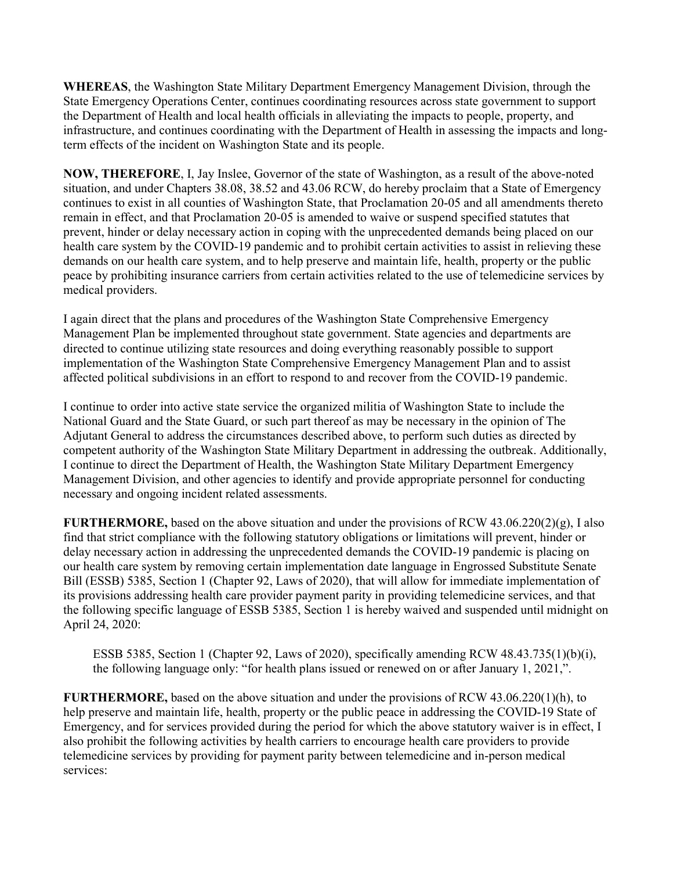**WHEREAS**, the Washington State Military Department Emergency Management Division, through the State Emergency Operations Center, continues coordinating resources across state government to support the Department of Health and local health officials in alleviating the impacts to people, property, and infrastructure, and continues coordinating with the Department of Health in assessing the impacts and longterm effects of the incident on Washington State and its people.

**NOW, THEREFORE**, I, Jay Inslee, Governor of the state of Washington, as a result of the above-noted situation, and under Chapters 38.08, 38.52 and 43.06 RCW, do hereby proclaim that a State of Emergency continues to exist in all counties of Washington State, that Proclamation 20-05 and all amendments thereto remain in effect, and that Proclamation 20-05 is amended to waive or suspend specified statutes that prevent, hinder or delay necessary action in coping with the unprecedented demands being placed on our health care system by the COVID-19 pandemic and to prohibit certain activities to assist in relieving these demands on our health care system, and to help preserve and maintain life, health, property or the public peace by prohibiting insurance carriers from certain activities related to the use of telemedicine services by medical providers.

I again direct that the plans and procedures of the Washington State Comprehensive Emergency Management Plan be implemented throughout state government. State agencies and departments are directed to continue utilizing state resources and doing everything reasonably possible to support implementation of the Washington State Comprehensive Emergency Management Plan and to assist affected political subdivisions in an effort to respond to and recover from the COVID-19 pandemic.

I continue to order into active state service the organized militia of Washington State to include the National Guard and the State Guard, or such part thereof as may be necessary in the opinion of The Adjutant General to address the circumstances described above, to perform such duties as directed by competent authority of the Washington State Military Department in addressing the outbreak. Additionally, I continue to direct the Department of Health, the Washington State Military Department Emergency Management Division, and other agencies to identify and provide appropriate personnel for conducting necessary and ongoing incident related assessments.

**FURTHERMORE,** based on the above situation and under the provisions of RCW 43.06.220(2)(g), I also find that strict compliance with the following statutory obligations or limitations will prevent, hinder or delay necessary action in addressing the unprecedented demands the COVID-19 pandemic is placing on our health care system by removing certain implementation date language in Engrossed Substitute Senate Bill (ESSB) 5385, Section 1 (Chapter 92, Laws of 2020), that will allow for immediate implementation of its provisions addressing health care provider payment parity in providing telemedicine services, and that the following specific language of ESSB 5385, Section 1 is hereby waived and suspended until midnight on April 24, 2020:

ESSB 5385, Section 1 (Chapter 92, Laws of 2020), specifically amending RCW 48.43.735(1)(b)(i), the following language only: "for health plans issued or renewed on or after January 1, 2021,".

**FURTHERMORE,** based on the above situation and under the provisions of RCW 43.06.220(1)(h), to help preserve and maintain life, health, property or the public peace in addressing the COVID-19 State of Emergency, and for services provided during the period for which the above statutory waiver is in effect, I also prohibit the following activities by health carriers to encourage health care providers to provide telemedicine services by providing for payment parity between telemedicine and in-person medical services: